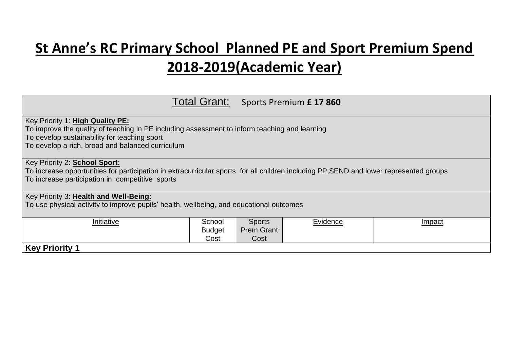## **St Anne's RC Primary School Planned PE and Sport Premium Spend 2018-2019(Academic Year)**

|                                                                                                                                                                                                                                       |                                 |                                            | Total Grant: Sports Premium £ 17 860 |        |  |
|---------------------------------------------------------------------------------------------------------------------------------------------------------------------------------------------------------------------------------------|---------------------------------|--------------------------------------------|--------------------------------------|--------|--|
| Key Priority 1: High Quality PE:<br>To improve the quality of teaching in PE including assessment to inform teaching and learning<br>To develop sustainability for teaching sport<br>To develop a rich, broad and balanced curriculum |                                 |                                            |                                      |        |  |
| Key Priority 2: <b>School Sport:</b><br>To increase opportunities for participation in extracurricular sports for all children including PP, SEND and lower represented groups<br>To increase participation in competitive sports     |                                 |                                            |                                      |        |  |
| Key Priority 3: Health and Well-Being:<br>To use physical activity to improve pupils' health, wellbeing, and educational outcomes                                                                                                     |                                 |                                            |                                      |        |  |
| Initiative                                                                                                                                                                                                                            | School<br><b>Budget</b><br>Cost | <b>Sports</b><br><b>Prem Grant</b><br>Cost | Evidence                             | Impact |  |
| <b>Key Priority 1</b>                                                                                                                                                                                                                 |                                 |                                            |                                      |        |  |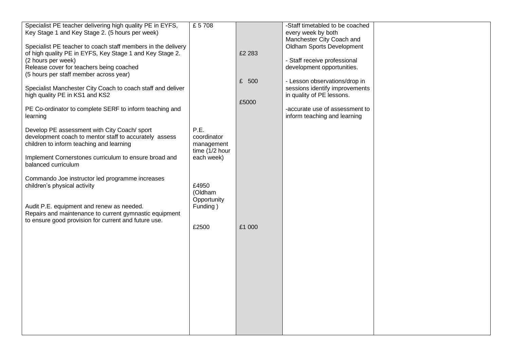| Specialist PE teacher delivering high quality PE in EYFS,<br>Key Stage 1 and Key Stage 2. (5 hours per week)<br>Specialist PE teacher to coach staff members in the delivery<br>of high quality PE in EYFS, Key Stage 1 and Key Stage 2.<br>(2 hours per week)<br>Release cover for teachers being coached<br>(5 hours per staff member across year)<br>Specialist Manchester City Coach to coach staff and deliver<br>high quality PE in KS1 and KS2 | £ 5708                                                    | £2 283<br>£ 500 | -Staff timetabled to be coached<br>every week by both<br>Manchester City Coach and<br><b>Oldham Sports Development</b><br>- Staff receive professional<br>development opportunities.<br>- Lesson observations/drop in<br>sessions identify improvements<br>in quality of PE lessons. |  |
|-------------------------------------------------------------------------------------------------------------------------------------------------------------------------------------------------------------------------------------------------------------------------------------------------------------------------------------------------------------------------------------------------------------------------------------------------------|-----------------------------------------------------------|-----------------|--------------------------------------------------------------------------------------------------------------------------------------------------------------------------------------------------------------------------------------------------------------------------------------|--|
| PE Co-ordinator to complete SERF to inform teaching and<br>learning<br>Develop PE assessment with City Coach/ sport                                                                                                                                                                                                                                                                                                                                   | P.E.                                                      | £5000           | -accurate use of assessment to<br>inform teaching and learning                                                                                                                                                                                                                       |  |
| development coach to mentor staff to accurately assess<br>children to inform teaching and learning<br>Implement Cornerstones curriculum to ensure broad and<br>balanced curriculum                                                                                                                                                                                                                                                                    | coordinator<br>management<br>time (1/2 hour<br>each week) |                 |                                                                                                                                                                                                                                                                                      |  |
| Commando Joe instructor led programme increases<br>children's physical activity<br>Audit P.E. equipment and renew as needed.                                                                                                                                                                                                                                                                                                                          | £4950<br>(Oldham<br>Opportunity<br>Funding)               |                 |                                                                                                                                                                                                                                                                                      |  |
| Repairs and maintenance to current gymnastic equipment<br>to ensure good provision for current and future use.                                                                                                                                                                                                                                                                                                                                        | £2500                                                     | £1 000          |                                                                                                                                                                                                                                                                                      |  |
|                                                                                                                                                                                                                                                                                                                                                                                                                                                       |                                                           |                 |                                                                                                                                                                                                                                                                                      |  |
|                                                                                                                                                                                                                                                                                                                                                                                                                                                       |                                                           |                 |                                                                                                                                                                                                                                                                                      |  |
|                                                                                                                                                                                                                                                                                                                                                                                                                                                       |                                                           |                 |                                                                                                                                                                                                                                                                                      |  |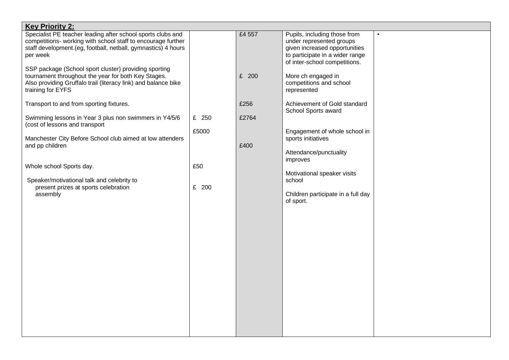| <b>Key Priority 2:</b>                                                                                                                                                                                    |       |        |                                                                                                                                                               |  |
|-----------------------------------------------------------------------------------------------------------------------------------------------------------------------------------------------------------|-------|--------|---------------------------------------------------------------------------------------------------------------------------------------------------------------|--|
| Specialist PE teacher leading after school sports clubs and<br>competitions- working with school staff to encourage further<br>staff development. (eg, football, netball, gymnastics) 4 hours<br>per week |       | £4 557 | Pupils, including those from<br>under represented groups<br>given increased opportunities<br>to participate in a wider range<br>of inter-school competitions. |  |
| SSP package (School sport cluster) providing sporting<br>tournament throughout the year for both Key Stages.<br>Also providing Gruffalo trail (literacy link) and balance bike<br>training for EYFS       |       | £ 200  | More ch engaged in<br>competitions and school<br>represented                                                                                                  |  |
| Transport to and from sporting fixtures.                                                                                                                                                                  |       | £256   | Achievement of Gold standard<br>School Sports award                                                                                                           |  |
| Swimming lessons in Year 3 plus non swimmers in Y4/5/6<br>(cost of lessons and transport                                                                                                                  | £ 250 | £2764  |                                                                                                                                                               |  |
| Manchester City Before School club aimed at low attenders<br>and pp children                                                                                                                              | £5000 | £400   | Engagement of whole school in<br>sports initiatives                                                                                                           |  |
|                                                                                                                                                                                                           |       |        | Attendance/punctuality<br>improves                                                                                                                            |  |
| Whole school Sports day.                                                                                                                                                                                  | £50   |        | Motivational speaker visits                                                                                                                                   |  |
| Speaker/motivational talk and celebrity to<br>present prizes at sports celebration<br>assembly                                                                                                            | £ 200 |        | school<br>Children participate in a full day<br>of sport.                                                                                                     |  |
|                                                                                                                                                                                                           |       |        |                                                                                                                                                               |  |
|                                                                                                                                                                                                           |       |        |                                                                                                                                                               |  |
|                                                                                                                                                                                                           |       |        |                                                                                                                                                               |  |
|                                                                                                                                                                                                           |       |        |                                                                                                                                                               |  |
|                                                                                                                                                                                                           |       |        |                                                                                                                                                               |  |
|                                                                                                                                                                                                           |       |        |                                                                                                                                                               |  |
|                                                                                                                                                                                                           |       |        |                                                                                                                                                               |  |
|                                                                                                                                                                                                           |       |        |                                                                                                                                                               |  |